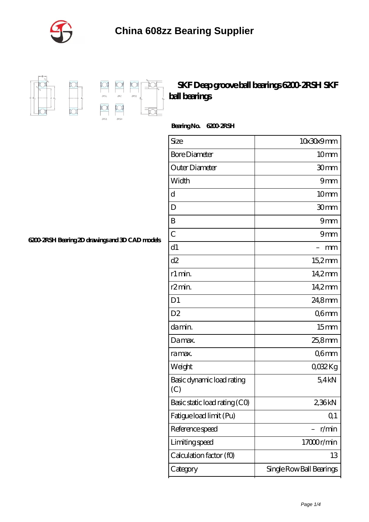



 $\frac{1}{2}$  $\frac{1}{2RZ}$  $\Box$ 

 $\frac{1}{\sqrt{2}}$ 

 $\overline{\text{D}}$ 

## **[SKF Deep groove ball bearings 6200-2RSH SKF](https://m.satinspirals.com/skf-exp4000-bearing/skf-deep-groove-ball-bearings-6200-2rsh-skf-ball-bearings.html) [ball bearings](https://m.satinspirals.com/skf-exp4000-bearing/skf-deep-groove-ball-bearings-6200-2rsh-skf-ball-bearings.html)**

Bearing No. 6200 *2RSH* 

| Size                             | 10x30x9mm                |
|----------------------------------|--------------------------|
| <b>Bore Diameter</b>             | 10mm                     |
| Outer Diameter                   | 30mm                     |
| Width                            | 9mm                      |
| d                                | 10mm                     |
| D                                | 30mm                     |
| B                                | 9mm                      |
| $\overline{C}$                   | 9mm                      |
| d1                               | mm                       |
| d2                               | 15,2mm                   |
| r1 min.                          | 14,2mm                   |
| r <sub>2</sub> min.              | 14,2mm                   |
| D <sub>1</sub>                   | 24,8mm                   |
| D <sub>2</sub>                   | Q6mm                     |
| da min.                          | 15 <sub>mm</sub>         |
| Damax.                           | 25,8mm                   |
| ra max.                          | Q6mm                     |
| Weight                           | QO32Kg                   |
| Basic dynamic load rating<br>(C) | 54kN                     |
| Basic static load rating (CO)    | 236kN                    |
| Fatigue load limit (Pu)          | Q <sub>1</sub>           |
| Reference speed                  | r/min                    |
| Limiting speed                   | 17000r/min               |
| Calculation factor (f0)          | 13                       |
| Category                         | Single Row Ball Bearings |

**[6200-2RSH Bearing 2D drawings and 3D CAD models](https://m.satinspirals.com/pic-65288878.html)**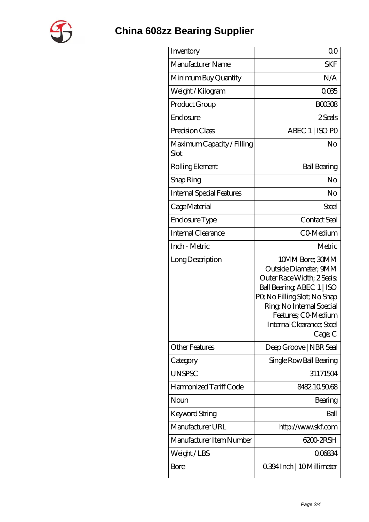

## **[China 608zz Bearing Supplier](https://m.satinspirals.com)**

| Inventory                          | 0 <sup>0</sup>                                                                                                                                                                                                                  |
|------------------------------------|---------------------------------------------------------------------------------------------------------------------------------------------------------------------------------------------------------------------------------|
| Manufacturer Name                  | <b>SKF</b>                                                                                                                                                                                                                      |
| Minimum Buy Quantity               | N/A                                                                                                                                                                                                                             |
| Weight / Kilogram                  | 0035                                                                                                                                                                                                                            |
| Product Group                      | <b>BOO308</b>                                                                                                                                                                                                                   |
| Enclosure                          | 2 Seals                                                                                                                                                                                                                         |
| Precision Class                    | ABEC 1   ISO PO                                                                                                                                                                                                                 |
| Maximum Capacity / Filling<br>Slot | No                                                                                                                                                                                                                              |
| Rolling Element                    | <b>Ball Bearing</b>                                                                                                                                                                                                             |
| Snap Ring                          | No                                                                                                                                                                                                                              |
| <b>Internal Special Features</b>   | No                                                                                                                                                                                                                              |
| Cage Material                      | Steel                                                                                                                                                                                                                           |
| Enclosure Type                     | Contact Seal                                                                                                                                                                                                                    |
| Internal Clearance                 | CO-Medium                                                                                                                                                                                                                       |
| Inch - Metric                      | Metric                                                                                                                                                                                                                          |
| Long Description                   | 10MM Bore; 30MM<br>Outside Diameter; 9MM<br>Outer Race Width; 2 Seals;<br>Ball Bearing, ABEC 1   ISO<br>PQ No Filling Slot; No Snap<br>Ring, No Internal Special<br>Features; CO Medium<br>Internal Clearance; Steel<br>Cage; C |
| <b>Other Features</b>              | Deep Groove   NBR Seal                                                                                                                                                                                                          |
| Category                           | Single Row Ball Bearing                                                                                                                                                                                                         |
| <b>UNSPSC</b>                      | 31171504                                                                                                                                                                                                                        |
| Harmonized Tariff Code             | 8482105068                                                                                                                                                                                                                      |
| Noun                               | Bearing                                                                                                                                                                                                                         |
| Keyword String                     | Ball                                                                                                                                                                                                                            |
| Manufacturer URL                   | http://www.skf.com                                                                                                                                                                                                              |
| Manufacturer Item Number           | 6200 2RSH                                                                                                                                                                                                                       |
| Weight/LBS                         | 006834                                                                                                                                                                                                                          |
| Bore                               | 0.394 Inch   10 Millimeter                                                                                                                                                                                                      |
|                                    |                                                                                                                                                                                                                                 |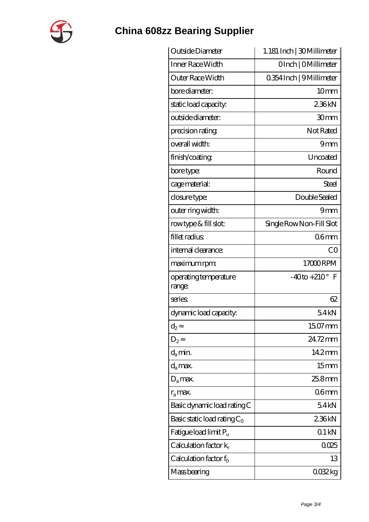

## **[China 608zz Bearing Supplier](https://m.satinspirals.com)**

| Outside Diameter                | 1.181 Inch   30 Millimeter   |
|---------------------------------|------------------------------|
| Inner Race Width                | OInch   OMillimeter          |
| Outer Race Width                | 0.354 Inch   9 Millimeter    |
| bore diameter:                  | 10 <sub>mm</sub>             |
| static load capacity.           | 236kN                        |
| outside diameter:               | 30mm                         |
| precision rating                | Not Rated                    |
| overall width:                  | 9mm                          |
| finish/coating                  | Uncoated                     |
| bore type:                      | Round                        |
| cage material:                  | Steel                        |
| closure type:                   | Double Sealed                |
| outer ring width:               | 9mm                          |
| rowtype & fill slot:            | Single Row Non-Fill Slot     |
| fillet radius                   | 06 <sub>mm</sub>             |
| internal clearance:             | CO                           |
| maximum rpm:                    | 17000RPM                     |
| operating temperature<br>range: | $-40$ to $+210^{\circ}$<br>F |
| series                          | 62                           |
| dynamic load capacity:          | 54kN                         |
| $\mathrm{d}_2$                  | 15.07 mm                     |
| $D_2$                           | 24.72mm                      |
| $d_a$ min.                      | 14.2mm                       |
| $d_a$ max.                      | 15 <sub>mm</sub>             |
| $D_a$ max.                      | 25.8mm                       |
| $r_a$ max.                      | 06 <sub>mm</sub>             |
| Basic dynamic load rating C     | 54kN                         |
| Basic static load rating $C_0$  | 236kN                        |
| Fatigue load limit $P_u$        | 01kN                         |
| Calculation factor $k_r$        | 0025                         |
| Calculation factor $f_0$        | 13                           |
| Mass bearing                    | 0032kg                       |